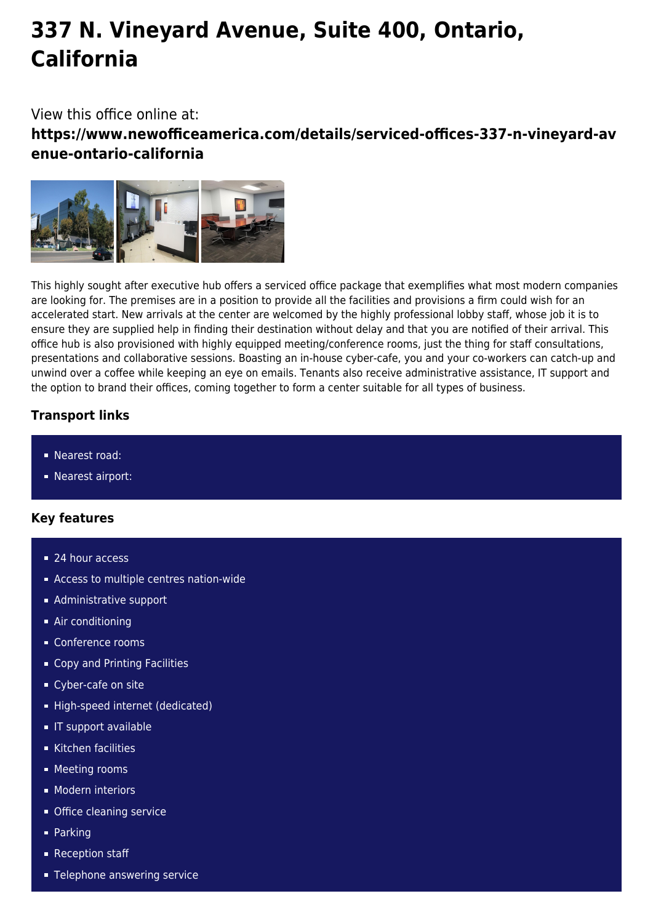# **337 N. Vineyard Avenue, Suite 400, Ontario, California**

# View this office online at:

**https://www.newofficeamerica.com/details/serviced-offices-337-n-vineyard-av enue-ontario-california**



This highly sought after executive hub offers a serviced office package that exemplifies what most modern companies are looking for. The premises are in a position to provide all the facilities and provisions a firm could wish for an accelerated start. New arrivals at the center are welcomed by the highly professional lobby staff, whose job it is to ensure they are supplied help in finding their destination without delay and that you are notified of their arrival. This office hub is also provisioned with highly equipped meeting/conference rooms, just the thing for staff consultations, presentations and collaborative sessions. Boasting an in-house cyber-cafe, you and your co-workers can catch-up and unwind over a coffee while keeping an eye on emails. Tenants also receive administrative assistance, IT support and the option to brand their offices, coming together to form a center suitable for all types of business.

# **Transport links**

- Nearest road:
- **Nearest airport:**

### **Key features**

- 24 hour access
- Access to multiple centres nation-wide
- **Administrative support**
- Air conditioning
- Conference rooms
- Copy and Printing Facilities
- Cyber-cafe on site
- High-speed internet (dedicated)
- **IT** support available
- Kitchen facilities
- **Meeting rooms**
- **Modern interiors**
- **Office cleaning service**
- **Parking**
- Reception staff
- **Telephone answering service**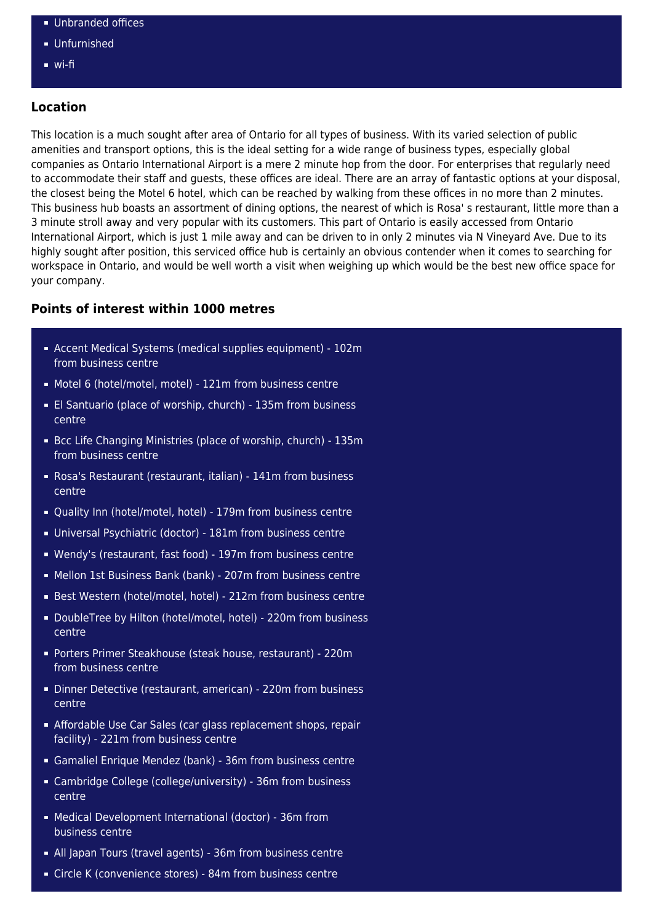- **Unbranded offices**
- Unfurnished
- wi-fi

#### **Location**

This location is a much sought after area of Ontario for all types of business. With its varied selection of public amenities and transport options, this is the ideal setting for a wide range of business types, especially global companies as Ontario International Airport is a mere 2 minute hop from the door. For enterprises that regularly need to accommodate their staff and guests, these offices are ideal. There are an array of fantastic options at your disposal, the closest being the Motel 6 hotel, which can be reached by walking from these offices in no more than 2 minutes. This business hub boasts an assortment of dining options, the nearest of which is Rosa' s restaurant, little more than a 3 minute stroll away and very popular with its customers. This part of Ontario is easily accessed from Ontario International Airport, which is just 1 mile away and can be driven to in only 2 minutes via N Vineyard Ave. Due to its highly sought after position, this serviced office hub is certainly an obvious contender when it comes to searching for workspace in Ontario, and would be well worth a visit when weighing up which would be the best new office space for your company.

#### **Points of interest within 1000 metres**

- Accent Medical Systems (medical supplies equipment) 102m from business centre
- Motel 6 (hotel/motel, motel) 121m from business centre
- El Santuario (place of worship, church) 135m from business centre
- Bcc Life Changing Ministries (place of worship, church) 135m from business centre
- Rosa's Restaurant (restaurant, italian) 141m from business centre
- Quality Inn (hotel/motel, hotel) 179m from business centre
- Universal Psychiatric (doctor) 181m from business centre
- Wendy's (restaurant, fast food) 197m from business centre
- Mellon 1st Business Bank (bank) 207m from business centre
- Best Western (hotel/motel, hotel) 212m from business centre
- DoubleTree by Hilton (hotel/motel, hotel) 220m from business centre
- Porters Primer Steakhouse (steak house, restaurant) 220m from business centre
- Dinner Detective (restaurant, american) 220m from business centre
- Affordable Use Car Sales (car glass replacement shops, repair facility) - 221m from business centre
- Gamaliel Enrique Mendez (bank) 36m from business centre
- Cambridge College (college/university) 36m from business centre
- Medical Development International (doctor) 36m from business centre
- All Japan Tours (travel agents) 36m from business centre
- Circle K (convenience stores) 84m from business centre